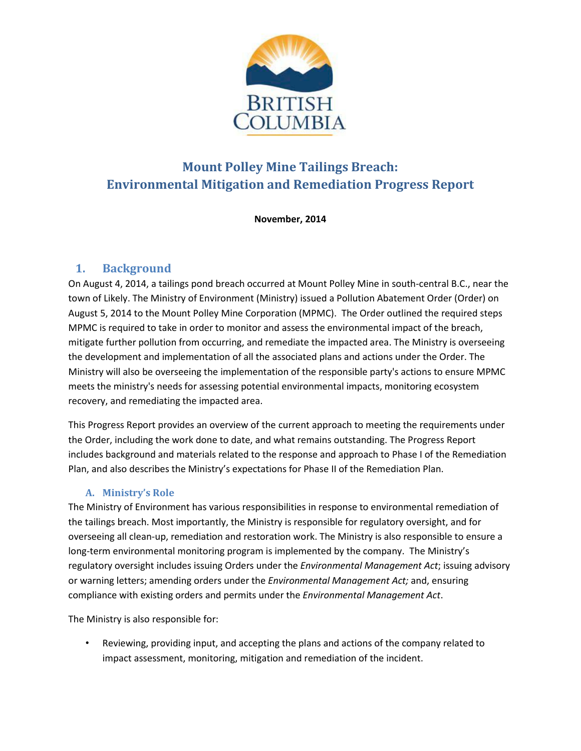

# **Mount Polley Mine Tailings Breach: Environmental Mitigation and Remediation Progress Report**

**November, 2014**

### **1. Background**

On August 4, 2014, a tailings pond breach occurred at Mount Polley Mine in south-central B.C., near the town of Likely. The Ministry of Environment (Ministry) issued a Pollution Abatement Order (Order) on August 5, 2014 to the Mount Polley Mine Corporation (MPMC). The Order outlined the required steps MPMC is required to take in order to monitor and assess the environmental impact of the breach, mitigate further pollution from occurring, and remediate the impacted area. The Ministry is overseeing the development and implementation of all the associated plans and actions under the Order. The Ministry will also be overseeing the implementation of the responsible party's actions to ensure MPMC meets the ministry's needs for assessing potential environmental impacts, monitoring ecosystem recovery, and remediating the impacted area.

This Progress Report provides an overview of the current approach to meeting the requirements under the Order, including the work done to date, and what remains outstanding. The Progress Report includes background and materials related to the response and approach to Phase I of the Remediation Plan, and also describes the Ministry's expectations for Phase II of the Remediation Plan.

#### **A. Ministry's Role**

The Ministry of Environment has various responsibilities in response to environmental remediation of the tailings breach. Most importantly, the Ministry is responsible for regulatory oversight, and for overseeing all clean-up, remediation and restoration work. The Ministry is also responsible to ensure a long-term environmental monitoring program is implemented by the company. The Ministry's regulatory oversight includes issuing Orders under the *Environmental Management Act*; issuing advisory or warning letters; amending orders under the *Environmental Management Act;* and, ensuring compliance with existing orders and permits under the *Environmental Management Act*.

The Ministry is also responsible for:

• Reviewing, providing input, and accepting the plans and actions of the company related to impact assessment, monitoring, mitigation and remediation of the incident.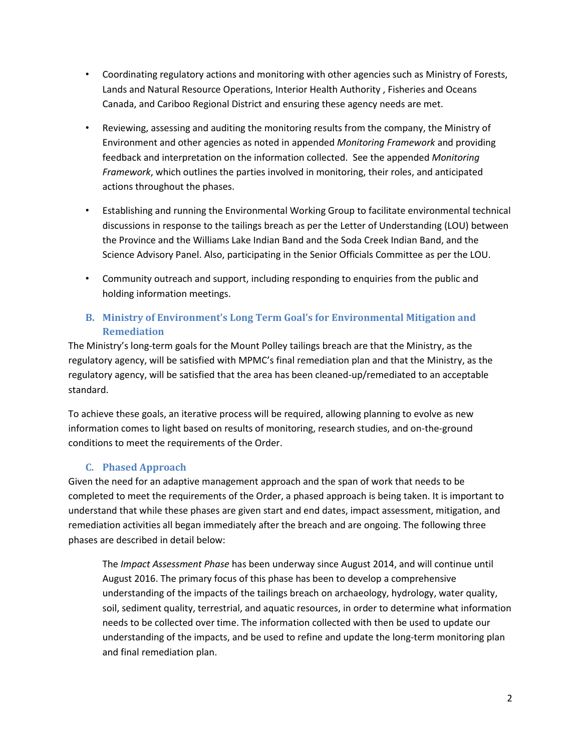- Coordinating regulatory actions and monitoring with other agencies such as Ministry of Forests, Lands and Natural Resource Operations, Interior Health Authority , Fisheries and Oceans Canada, and Cariboo Regional District and ensuring these agency needs are met.
- Reviewing, assessing and auditing the monitoring results from the company, the Ministry of Environment and other agencies as noted in appended *Monitoring Framework* and providing feedback and interpretation on the information collected. See the appended *Monitoring Framework*, which outlines the parties involved in monitoring, their roles, and anticipated actions throughout the phases.
- Establishing and running the Environmental Working Group to facilitate environmental technical discussions in response to the tailings breach as per the Letter of Understanding (LOU) between the Province and the Williams Lake Indian Band and the Soda Creek Indian Band, and the Science Advisory Panel. Also, participating in the Senior Officials Committee as per the LOU.
- Community outreach and support, including responding to enquiries from the public and holding information meetings.

#### **B. Ministry of Environment's Long Term Goal's for Environmental Mitigation and Remediation**

The Ministry's long-term goals for the Mount Polley tailings breach are that the Ministry, as the regulatory agency, will be satisfied with MPMC's final remediation plan and that the Ministry, as the regulatory agency, will be satisfied that the area has been cleaned-up/remediated to an acceptable standard.

To achieve these goals, an iterative process will be required, allowing planning to evolve as new information comes to light based on results of monitoring, research studies, and on-the-ground conditions to meet the requirements of the Order.

#### **C. Phased Approach**

Given the need for an adaptive management approach and the span of work that needs to be completed to meet the requirements of the Order, a phased approach is being taken. It is important to understand that while these phases are given start and end dates, impact assessment, mitigation, and remediation activities all began immediately after the breach and are ongoing. The following three phases are described in detail below:

The *Impact Assessment Phase* has been underway since August 2014, and will continue until August 2016. The primary focus of this phase has been to develop a comprehensive understanding of the impacts of the tailings breach on archaeology, hydrology, water quality, soil, sediment quality, terrestrial, and aquatic resources, in order to determine what information needs to be collected over time. The information collected with then be used to update our understanding of the impacts, and be used to refine and update the long-term monitoring plan and final remediation plan.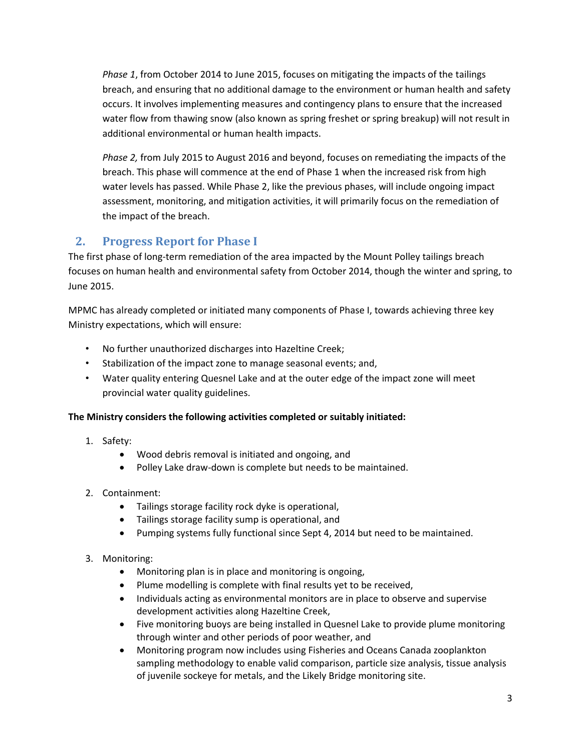*Phase 1*, from October 2014 to June 2015, focuses on mitigating the impacts of the tailings breach, and ensuring that no additional damage to the environment or human health and safety occurs. It involves implementing measures and contingency plans to ensure that the increased water flow from thawing snow (also known as spring freshet or spring breakup) will not result in additional environmental or human health impacts.

*Phase 2,* from July 2015 to August 2016 and beyond, focuses on remediating the impacts of the breach. This phase will commence at the end of Phase 1 when the increased risk from high water levels has passed. While Phase 2, like the previous phases, will include ongoing impact assessment, monitoring, and mitigation activities, it will primarily focus on the remediation of the impact of the breach.

## **2. Progress Report for Phase I**

The first phase of long-term remediation of the area impacted by the Mount Polley tailings breach focuses on human health and environmental safety from October 2014, though the winter and spring, to June 2015.

MPMC has already completed or initiated many components of Phase I, towards achieving three key Ministry expectations, which will ensure:

- No further unauthorized discharges into Hazeltine Creek;
- Stabilization of the impact zone to manage seasonal events; and,
- Water quality entering Quesnel Lake and at the outer edge of the impact zone will meet provincial water quality guidelines.

#### **The Ministry considers the following activities completed or suitably initiated:**

- 1. Safety:
	- Wood debris removal is initiated and ongoing, and
	- Polley Lake draw-down is complete but needs to be maintained.
- 2. Containment:
	- Tailings storage facility rock dyke is operational,
	- Tailings storage facility sump is operational, and
	- Pumping systems fully functional since Sept 4, 2014 but need to be maintained.
- 3. Monitoring:
	- Monitoring plan is in place and monitoring is ongoing,
	- Plume modelling is complete with final results yet to be received,
	- Individuals acting as environmental monitors are in place to observe and supervise development activities along Hazeltine Creek,
	- Five monitoring buoys are being installed in Quesnel Lake to provide plume monitoring through winter and other periods of poor weather, and
	- Monitoring program now includes using Fisheries and Oceans Canada zooplankton sampling methodology to enable valid comparison, particle size analysis, tissue analysis of juvenile sockeye for metals, and the Likely Bridge monitoring site.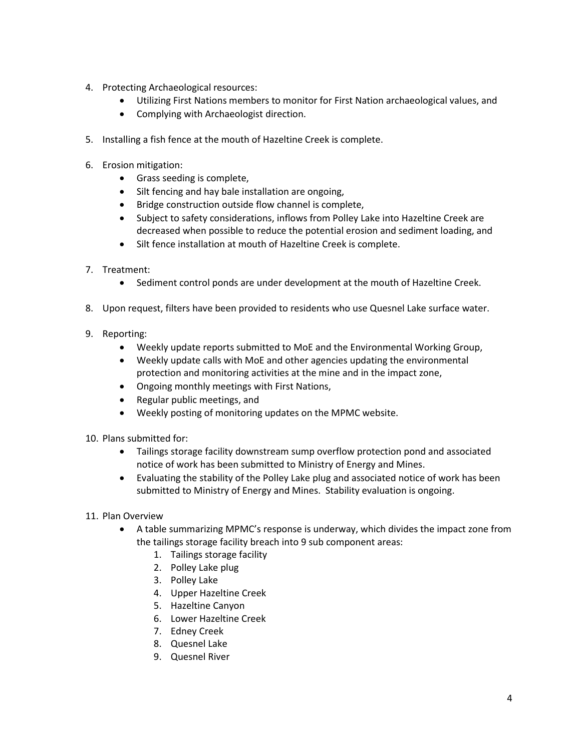- 4. Protecting Archaeological resources:
	- Utilizing First Nations members to monitor for First Nation archaeological values, and
	- Complying with Archaeologist direction.
- 5. Installing a fish fence at the mouth of Hazeltine Creek is complete.
- 6. Erosion mitigation:
	- Grass seeding is complete,
	- Silt fencing and hay bale installation are ongoing,
	- Bridge construction outside flow channel is complete,
	- Subject to safety considerations, inflows from Polley Lake into Hazeltine Creek are decreased when possible to reduce the potential erosion and sediment loading, and
	- Silt fence installation at mouth of Hazeltine Creek is complete.
- 7. Treatment:
	- Sediment control ponds are under development at the mouth of Hazeltine Creek.
- 8. Upon request, filters have been provided to residents who use Quesnel Lake surface water.
- 9. Reporting:
	- Weekly update reports submitted to MoE and the Environmental Working Group,
	- Weekly update calls with MoE and other agencies updating the environmental protection and monitoring activities at the mine and in the impact zone,
	- Ongoing monthly meetings with First Nations,
	- Regular public meetings, and
	- Weekly posting of monitoring updates on the MPMC website.
- 10. Plans submitted for:
	- Tailings storage facility downstream sump overflow protection pond and associated notice of work has been submitted to Ministry of Energy and Mines.
	- Evaluating the stability of the Polley Lake plug and associated notice of work has been submitted to Ministry of Energy and Mines. Stability evaluation is ongoing.
- 11. Plan Overview
	- A table summarizing MPMC's response is underway, which divides the impact zone from the tailings storage facility breach into 9 sub component areas:
		- 1. Tailings storage facility
		- 2. Polley Lake plug
		- 3. Polley Lake
		- 4. Upper Hazeltine Creek
		- 5. Hazeltine Canyon
		- 6. Lower Hazeltine Creek
		- 7. Edney Creek
		- 8. Quesnel Lake
		- 9. Quesnel River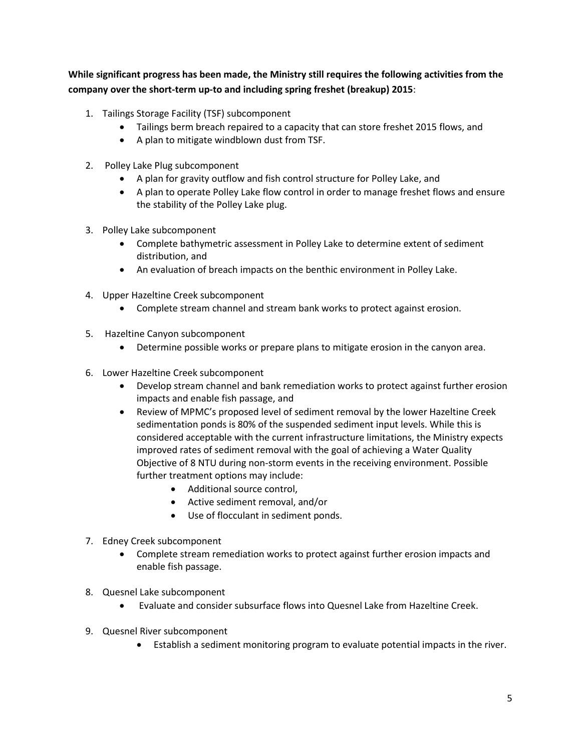**While significant progress has been made, the Ministry still requires the following activities from the company over the short-term up-to and including spring freshet (breakup) 2015**:

- 1. Tailings Storage Facility (TSF) subcomponent
	- Tailings berm breach repaired to a capacity that can store freshet 2015 flows, and
	- A plan to mitigate windblown dust from TSF.
- 2. Polley Lake Plug subcomponent
	- A plan for gravity outflow and fish control structure for Polley Lake, and
	- A plan to operate Polley Lake flow control in order to manage freshet flows and ensure the stability of the Polley Lake plug.
- 3. Polley Lake subcomponent
	- Complete bathymetric assessment in Polley Lake to determine extent of sediment distribution, and
	- An evaluation of breach impacts on the benthic environment in Polley Lake.
- 4. Upper Hazeltine Creek subcomponent
	- Complete stream channel and stream bank works to protect against erosion.
- 5. Hazeltine Canyon subcomponent
	- Determine possible works or prepare plans to mitigate erosion in the canyon area.
- 6. Lower Hazeltine Creek subcomponent
	- Develop stream channel and bank remediation works to protect against further erosion impacts and enable fish passage, and
	- Review of MPMC's proposed level of sediment removal by the lower Hazeltine Creek sedimentation ponds is 80% of the suspended sediment input levels. While this is considered acceptable with the current infrastructure limitations, the Ministry expects improved rates of sediment removal with the goal of achieving a Water Quality Objective of 8 NTU during non-storm events in the receiving environment. Possible further treatment options may include:
		- Additional source control,
		- Active sediment removal, and/or
		- Use of flocculant in sediment ponds.
- 7. Edney Creek subcomponent
	- Complete stream remediation works to protect against further erosion impacts and enable fish passage.
- 8. Quesnel Lake subcomponent
	- Evaluate and consider subsurface flows into Quesnel Lake from Hazeltine Creek.
- 9. Quesnel River subcomponent
	- Establish a sediment monitoring program to evaluate potential impacts in the river.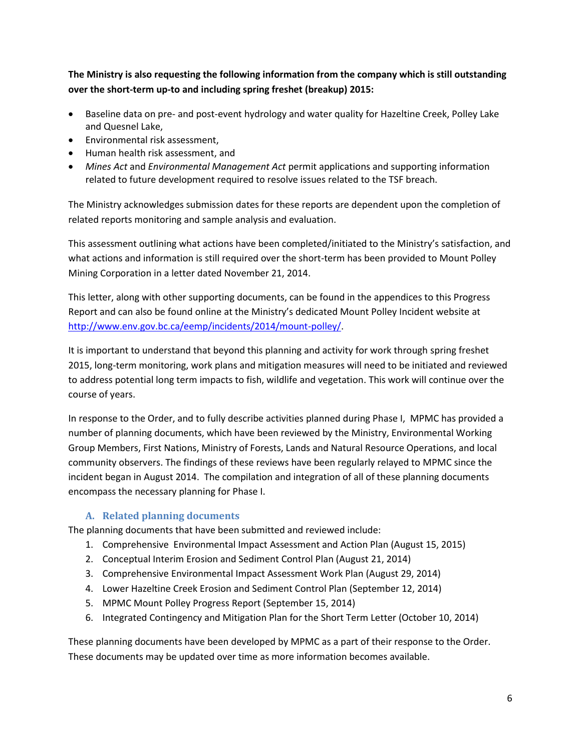**The Ministry is also requesting the following information from the company which is still outstanding over the short-term up-to and including spring freshet (breakup) 2015:**

- Baseline data on pre- and post-event hydrology and water quality for Hazeltine Creek, Polley Lake and Quesnel Lake,
- Environmental risk assessment,
- Human health risk assessment, and
- *Mines Act* and *Environmental Management Act* permit applications and supporting information related to future development required to resolve issues related to the TSF breach.

The Ministry acknowledges submission dates for these reports are dependent upon the completion of related reports monitoring and sample analysis and evaluation.

This assessment outlining what actions have been completed/initiated to the Ministry's satisfaction, and what actions and information is still required over the short-term has been provided to Mount Polley Mining Corporation in a letter dated November 21, 2014.

This letter, along with other supporting documents, can be found in the appendices to this Progress Report and can also be found online at the Ministry's dedicated Mount Polley Incident website at [http://www.env.gov.bc.ca/eemp/incidents/2014/mount-polley/.](http://www.env.gov.bc.ca/eemp/incidents/2014/mount-polley/)

It is important to understand that beyond this planning and activity for work through spring freshet 2015, long-term monitoring, work plans and mitigation measures will need to be initiated and reviewed to address potential long term impacts to fish, wildlife and vegetation. This work will continue over the course of years.

In response to the Order, and to fully describe activities planned during Phase I, MPMC has provided a number of planning documents, which have been reviewed by the Ministry, Environmental Working Group Members, First Nations, Ministry of Forests, Lands and Natural Resource Operations, and local community observers. The findings of these reviews have been regularly relayed to MPMC since the incident began in August 2014. The compilation and integration of all of these planning documents encompass the necessary planning for Phase I.

#### **A. Related planning documents**

The planning documents that have been submitted and reviewed include:

- 1. Comprehensive Environmental Impact Assessment and Action Plan (August 15, 2015)
- 2. Conceptual Interim Erosion and Sediment Control Plan (August 21, 2014)
- 3. Comprehensive Environmental Impact Assessment Work Plan (August 29, 2014)
- 4. Lower Hazeltine Creek Erosion and Sediment Control Plan (September 12, 2014)
- 5. MPMC Mount Polley Progress Report (September 15, 2014)
- 6. Integrated Contingency and Mitigation Plan for the Short Term Letter (October 10, 2014)

These planning documents have been developed by MPMC as a part of their response to the Order. These documents may be updated over time as more information becomes available.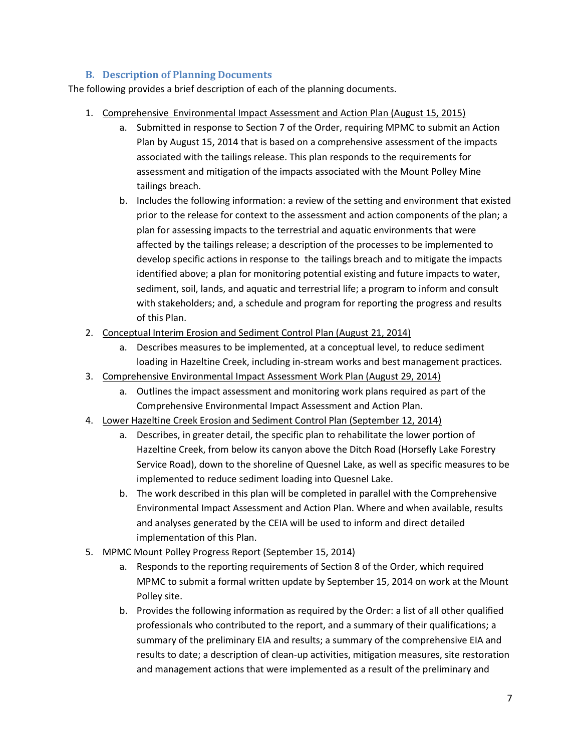#### **B. Description of Planning Documents**

The following provides a brief description of each of the planning documents.

- 1. Comprehensive Environmental Impact Assessment and Action Plan (August 15, 2015)
	- a. Submitted in response to Section 7 of the Order, requiring MPMC to submit an Action Plan by August 15, 2014 that is based on a comprehensive assessment of the impacts associated with the tailings release. This plan responds to the requirements for assessment and mitigation of the impacts associated with the Mount Polley Mine tailings breach.
	- b. Includes the following information: a review of the setting and environment that existed prior to the release for context to the assessment and action components of the plan; a plan for assessing impacts to the terrestrial and aquatic environments that were affected by the tailings release; a description of the processes to be implemented to develop specific actions in response to the tailings breach and to mitigate the impacts identified above; a plan for monitoring potential existing and future impacts to water, sediment, soil, lands, and aquatic and terrestrial life; a program to inform and consult with stakeholders; and, a schedule and program for reporting the progress and results of this Plan.
- 2. Conceptual Interim Erosion and Sediment Control Plan (August 21, 2014)
	- a. Describes measures to be implemented, at a conceptual level, to reduce sediment loading in Hazeltine Creek, including in-stream works and best management practices.
- 3. Comprehensive Environmental Impact Assessment Work Plan (August 29, 2014)
	- a. Outlines the impact assessment and monitoring work plans required as part of the Comprehensive Environmental Impact Assessment and Action Plan.
- 4. Lower Hazeltine Creek Erosion and Sediment Control Plan (September 12, 2014)
	- a. Describes, in greater detail, the specific plan to rehabilitate the lower portion of Hazeltine Creek, from below its canyon above the Ditch Road (Horsefly Lake Forestry Service Road), down to the shoreline of Quesnel Lake, as well as specific measures to be implemented to reduce sediment loading into Quesnel Lake.
	- b. The work described in this plan will be completed in parallel with the Comprehensive Environmental Impact Assessment and Action Plan. Where and when available, results and analyses generated by the CEIA will be used to inform and direct detailed implementation of this Plan.
- 5. MPMC Mount Polley Progress Report (September 15, 2014)
	- a. Responds to the reporting requirements of Section 8 of the Order, which required MPMC to submit a formal written update by September 15, 2014 on work at the Mount Polley site.
	- b. Provides the following information as required by the Order: a list of all other qualified professionals who contributed to the report, and a summary of their qualifications; a summary of the preliminary EIA and results; a summary of the comprehensive EIA and results to date; a description of clean-up activities, mitigation measures, site restoration and management actions that were implemented as a result of the preliminary and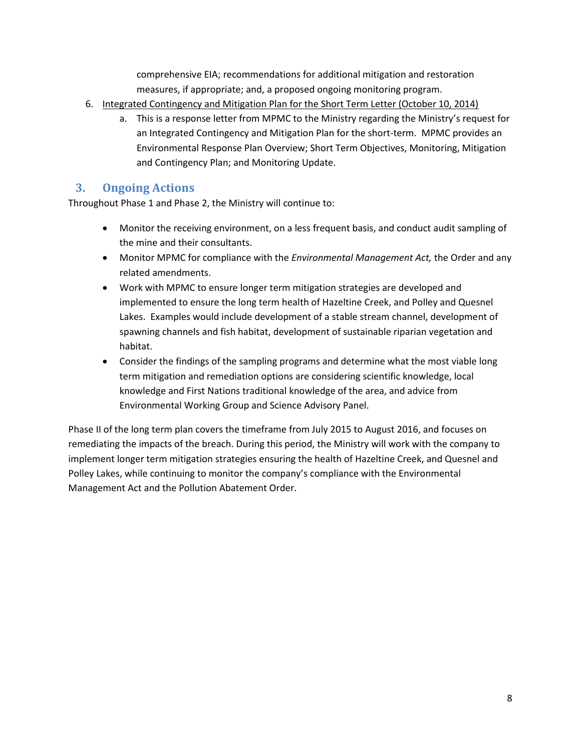comprehensive EIA; recommendations for additional mitigation and restoration measures, if appropriate; and, a proposed ongoing monitoring program.

- 6. Integrated Contingency and Mitigation Plan for the Short Term Letter (October 10, 2014)
	- a. This is a response letter from MPMC to the Ministry regarding the Ministry's request for an Integrated Contingency and Mitigation Plan for the short-term. MPMC provides an Environmental Response Plan Overview; Short Term Objectives, Monitoring, Mitigation and Contingency Plan; and Monitoring Update.

#### **3. Ongoing Actions**

Throughout Phase 1 and Phase 2, the Ministry will continue to:

- Monitor the receiving environment, on a less frequent basis, and conduct audit sampling of the mine and their consultants.
- Monitor MPMC for compliance with the *Environmental Management Act,* the Order and any related amendments.
- Work with MPMC to ensure longer term mitigation strategies are developed and implemented to ensure the long term health of Hazeltine Creek, and Polley and Quesnel Lakes. Examples would include development of a stable stream channel, development of spawning channels and fish habitat, development of sustainable riparian vegetation and habitat.
- Consider the findings of the sampling programs and determine what the most viable long term mitigation and remediation options are considering scientific knowledge, local knowledge and First Nations traditional knowledge of the area, and advice from Environmental Working Group and Science Advisory Panel.

Phase II of the long term plan covers the timeframe from July 2015 to August 2016, and focuses on remediating the impacts of the breach. During this period, the Ministry will work with the company to implement longer term mitigation strategies ensuring the health of Hazeltine Creek, and Quesnel and Polley Lakes, while continuing to monitor the company's compliance with the Environmental Management Act and the Pollution Abatement Order.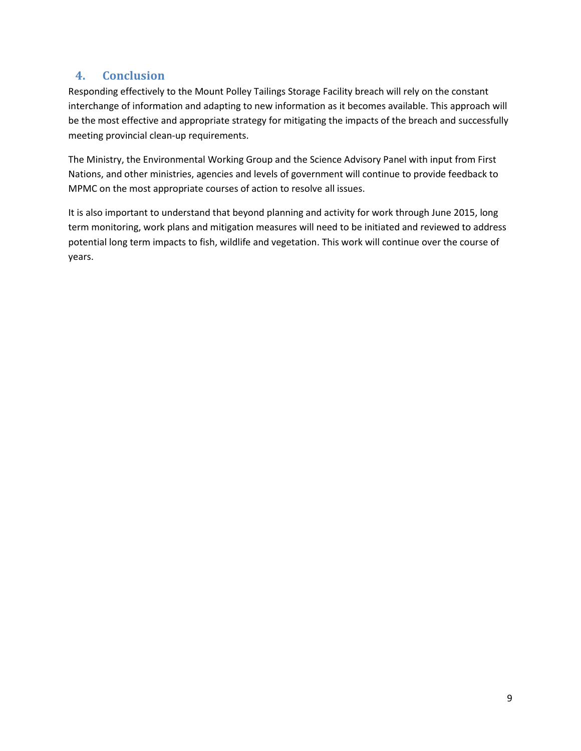### **4. Conclusion**

Responding effectively to the Mount Polley Tailings Storage Facility breach will rely on the constant interchange of information and adapting to new information as it becomes available. This approach will be the most effective and appropriate strategy for mitigating the impacts of the breach and successfully meeting provincial clean-up requirements.

The Ministry, the Environmental Working Group and the Science Advisory Panel with input from First Nations, and other ministries, agencies and levels of government will continue to provide feedback to MPMC on the most appropriate courses of action to resolve all issues.

It is also important to understand that beyond planning and activity for work through June 2015, long term monitoring, work plans and mitigation measures will need to be initiated and reviewed to address potential long term impacts to fish, wildlife and vegetation. This work will continue over the course of years.